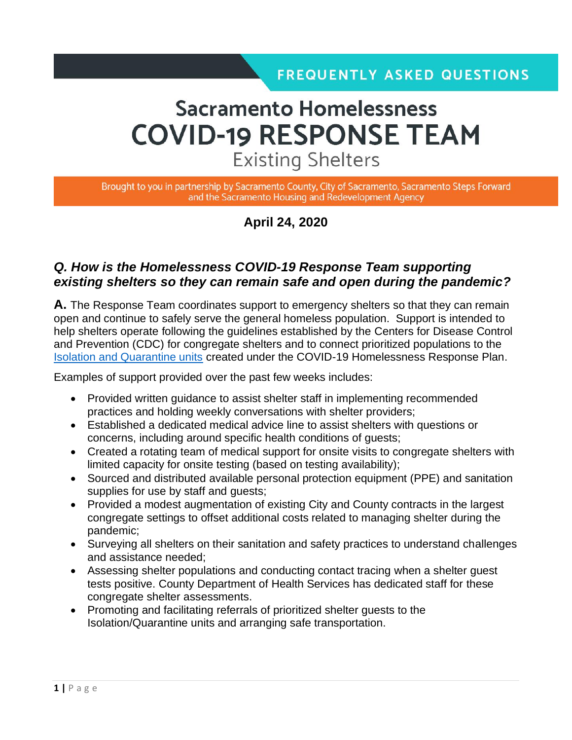# **Sacramento Homelessness COVID-19 RESPONSE TEAM Existing Shelters**

Brought to you in partnership by Sacramento County, City of Sacramento, Sacramento Steps Forward and the Sacramento Housing and Redevelopment Agency

### **April 24, 2020**

### *Q. How is the Homelessness COVID-19 Response Team supporting existing shelters so they can remain safe and open during the pandemic?*

**A.** The Response Team coordinates support to emergency shelters so that they can remain open and continue to safely serve the general homeless population. Support is intended to help shelters operate following the guidelines established by the Centers for Disease Control and Prevention (CDC) for congregate shelters and to connect prioritized populations to the [Isolation and Quarantine units](file:///C:/Users/yisle/Desktop/COVID-19/Communications/Fact%20Sheet_FAQs/Fact%20Sheet_Isolation%20Quarantine_4.17.20_Final.pdf) created under the COVID-19 Homelessness Response Plan.

Examples of support provided over the past few weeks includes:

- Provided written guidance to assist shelter staff in implementing recommended practices and holding weekly conversations with shelter providers;
- Established a dedicated medical advice line to assist shelters with questions or concerns, including around specific health conditions of guests;
- Created a rotating team of medical support for onsite visits to congregate shelters with limited capacity for onsite testing (based on testing availability);
- Sourced and distributed available personal protection equipment (PPE) and sanitation supplies for use by staff and guests;
- Provided a modest augmentation of existing City and County contracts in the largest congregate settings to offset additional costs related to managing shelter during the pandemic;
- Surveying all shelters on their sanitation and safety practices to understand challenges and assistance needed;
- Assessing shelter populations and conducting contact tracing when a shelter guest tests positive. County Department of Health Services has dedicated staff for these congregate shelter assessments.
- Promoting and facilitating referrals of prioritized shelter guests to the Isolation/Quarantine units and arranging safe transportation.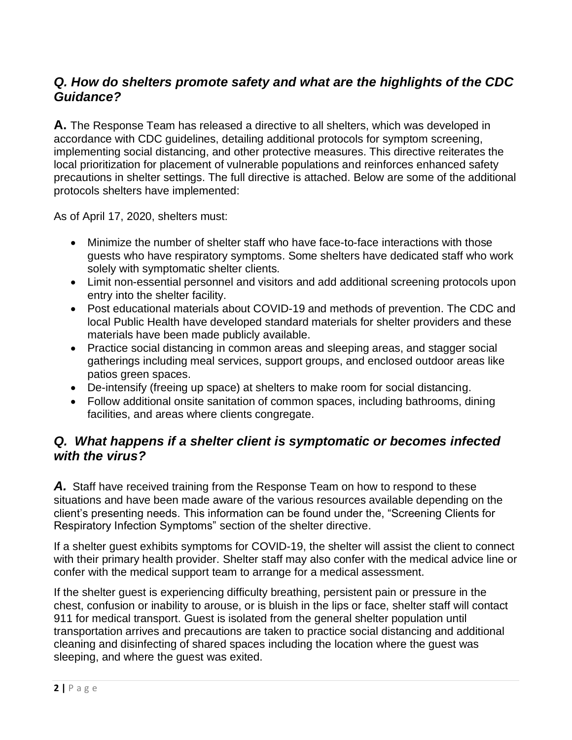### *Q. How do shelters promote safety and what are the highlights of the CDC Guidance?*

**A.** The Response Team has released a directive to all shelters, which was developed in accordance with CDC guidelines, detailing additional protocols for symptom screening, implementing social distancing, and other protective measures. This directive reiterates the local prioritization for placement of vulnerable populations and reinforces enhanced safety precautions in shelter settings. The full directive is attached. Below are some of the additional protocols shelters have implemented:

As of April 17, 2020, shelters must:

- Minimize the number of shelter staff who have face-to-face interactions with those guests who have respiratory symptoms. Some shelters have dedicated staff who work solely with symptomatic shelter clients.
- Limit non-essential personnel and visitors and add additional screening protocols upon entry into the shelter facility.
- Post educational materials about COVID-19 and methods of prevention. The CDC and local Public Health have developed standard materials for shelter providers and these materials have been made publicly available.
- Practice social distancing in common areas and sleeping areas, and stagger social gatherings including meal services, support groups, and enclosed outdoor areas like patios green spaces.
- De-intensify (freeing up space) at shelters to make room for social distancing.
- Follow additional onsite sanitation of common spaces, including bathrooms, dining facilities, and areas where clients congregate.

### *Q. What happens if a shelter client is symptomatic or becomes infected with the virus?*

*A.* Staff have received training from the Response Team on how to respond to these situations and have been made aware of the various resources available depending on the client's presenting needs. This information can be found under the, "Screening Clients for Respiratory Infection Symptoms" section of the shelter directive.

If a shelter guest exhibits symptoms for COVID-19, the shelter will assist the client to connect with their primary health provider. Shelter staff may also confer with the medical advice line or confer with the medical support team to arrange for a medical assessment.

If the shelter guest is experiencing difficulty breathing, persistent pain or pressure in the chest, confusion or inability to arouse, or is bluish in the lips or face, shelter staff will contact 911 for medical transport. Guest is isolated from the general shelter population until transportation arrives and precautions are taken to practice social distancing and additional cleaning and disinfecting of shared spaces including the location where the guest was sleeping, and where the guest was exited.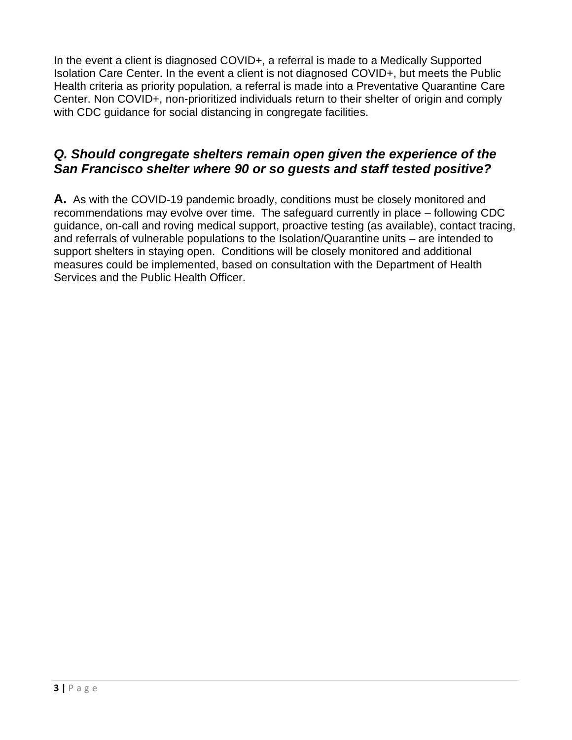In the event a client is diagnosed COVID+, a referral is made to a Medically Supported Isolation Care Center. In the event a client is not diagnosed COVID+, but meets the Public Health criteria as priority population, a referral is made into a Preventative Quarantine Care Center. Non COVID+, non-prioritized individuals return to their shelter of origin and comply with CDC guidance for social distancing in congregate facilities.

### *Q. Should congregate shelters remain open given the experience of the San Francisco shelter where 90 or so guests and staff tested positive?*

**A.** As with the COVID-19 pandemic broadly, conditions must be closely monitored and recommendations may evolve over time. The safeguard currently in place – following CDC guidance, on-call and roving medical support, proactive testing (as available), contact tracing, and referrals of vulnerable populations to the Isolation/Quarantine units – are intended to support shelters in staying open. Conditions will be closely monitored and additional measures could be implemented, based on consultation with the Department of Health Services and the Public Health Officer.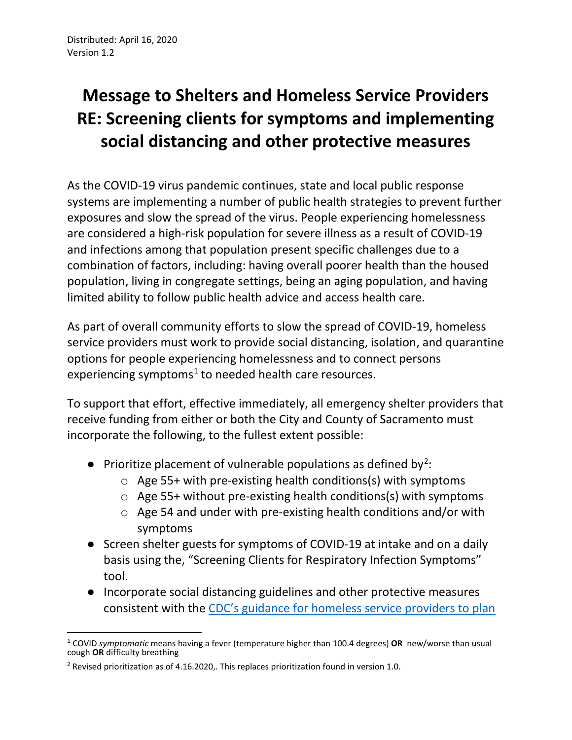# **Message to Shelters and Homeless Service Providers RE: Screening clients for symptoms and implementing social distancing and other protective measures**

As the COVID-19 virus pandemic continues, state and local public response systems are implementing a number of public health strategies to prevent further exposures and slow the spread of the virus. People experiencing homelessness are considered a high-risk population for severe illness as a result of COVID-19 and infections among that population present specific challenges due to a combination of factors, including: having overall poorer health than the housed population, living in congregate settings, being an aging population, and having limited ability to follow public health advice and access health care.

As part of overall community efforts to slow the spread of COVID-19, homeless service providers must work to provide social distancing, isolation, and quarantine options for people experiencing homelessness and to connect persons experiencing symptoms<sup>[1](#page-3-0)</sup> to needed health care resources.

To support that effort, effective immediately, all emergency shelter providers that receive funding from either or both the City and County of Sacramento must incorporate the following, to the fullest extent possible:

- Prioritize placement of vulnerable populations as defined by<sup>[2](#page-3-1)</sup>:
	- o Age 55+ with pre-existing health conditions(s) with symptoms
	- o Age 55+ without pre-existing health conditions(s) with symptoms
	- o Age 54 and under with pre-existing health conditions and/or with symptoms
- Screen shelter guests for symptoms of COVID-19 at intake and on a daily basis using the, "Screening Clients for Respiratory Infection Symptoms" tool.
- Incorporate social distancing guidelines and other protective measures consistent with the [CDC's guidance for homeless service providers to plan](https://www.cdc.gov/coronavirus/2019-ncov/community/homeless-shelters/plan-prepare-respond.html)

<span id="page-3-0"></span><sup>1</sup> COVID *symptomatic* means having a fever (temperature higher than 100.4 degrees) **OR** new/worse than usual cough **OR** difficulty breathing

<span id="page-3-1"></span><sup>&</sup>lt;sup>2</sup> Revised prioritization as of 4.16.2020,. This replaces prioritization found in version 1.0.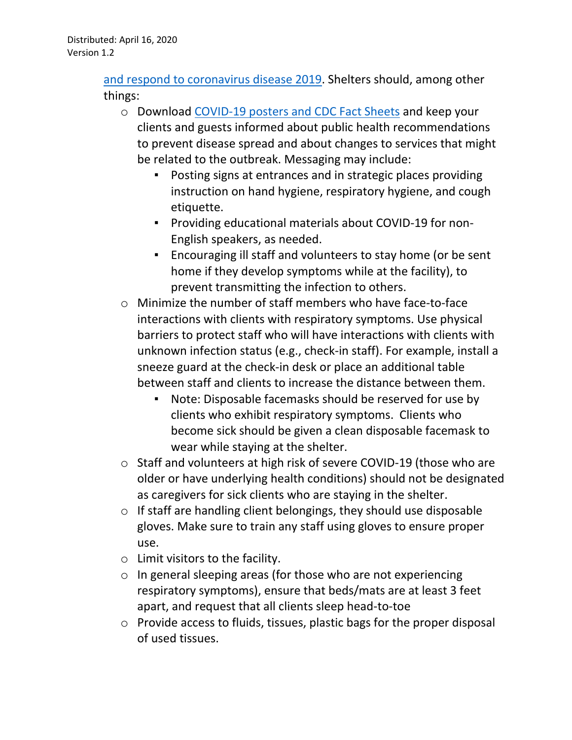[and respond to coronavirus disease 2019.](https://www.cdc.gov/coronavirus/2019-ncov/community/homeless-shelters/plan-prepare-respond.html) Shelters should, among other things:

- o Download [COVID-19 posters and CDC Fact Sheets](https://www.cdc.gov/coronavirus/2019-ncov/communication/factsheets.html) and keep your clients and guests informed about public health recommendations to prevent disease spread and about changes to services that might be related to the outbreak. Messaging may include:
	- Posting signs at entrances and in strategic places providing instruction on hand hygiene, respiratory hygiene, and cough etiquette.
	- Providing educational materials about COVID-19 for non-English speakers, as needed.
	- Encouraging ill staff and volunteers to stay home (or be sent home if they develop symptoms while at the facility), to prevent transmitting the infection to others.
- o Minimize the number of staff members who have face-to-face interactions with clients with respiratory symptoms. Use physical barriers to protect staff who will have interactions with clients with unknown infection status (e.g., check-in staff). For example, install a sneeze guard at the check-in desk or place an additional table between staff and clients to increase the distance between them.
	- Note: Disposable facemasks should be reserved for use by clients who exhibit respiratory symptoms. Clients who become sick should be given a clean disposable facemask to wear while staying at the shelter.
- o Staff and volunteers at high risk of severe COVID-19 (those who are older or have underlying health conditions) should not be designated as caregivers for sick clients who are staying in the shelter.
- $\circ$  If staff are handling client belongings, they should use disposable gloves. Make sure to train any staff using gloves to ensure proper use.
- o Limit visitors to the facility.
- o In general sleeping areas (for those who are not experiencing respiratory symptoms), ensure that beds/mats are at least 3 feet apart, and request that all clients sleep head-to-toe
- o Provide access to fluids, tissues, plastic bags for the proper disposal of used tissues.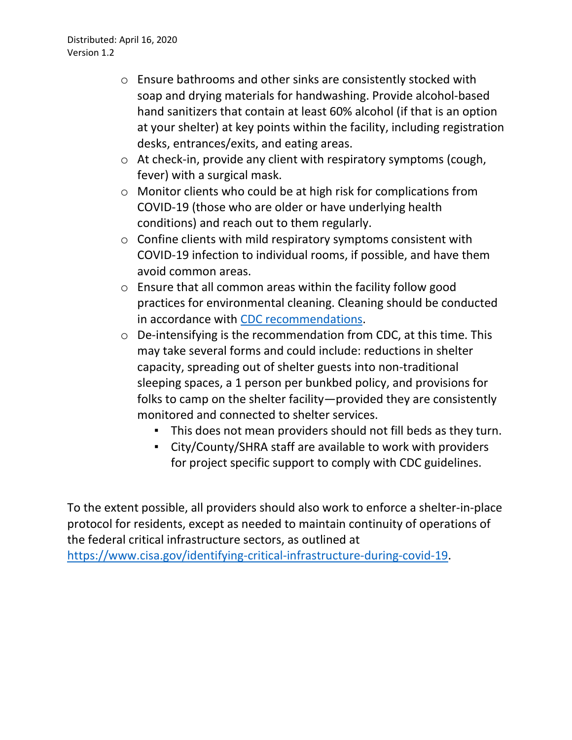- o Ensure bathrooms and other sinks are consistently stocked with soap and drying materials for handwashing. Provide alcohol-based hand sanitizers that contain at least 60% alcohol (if that is an option at your shelter) at key points within the facility, including registration desks, entrances/exits, and eating areas.
- o At check-in, provide any client with respiratory symptoms (cough, fever) with a surgical mask.
- o Monitor clients who could be at high risk for complications from COVID-19 (those who are older or have underlying health conditions) and reach out to them regularly.
- o Confine clients with mild respiratory symptoms consistent with COVID-19 infection to individual rooms, if possible, and have them avoid common areas.
- o Ensure that all common areas within the facility follow good practices for environmental cleaning. Cleaning should be conducted in accordance with [CDC recommendations.](https://www.cdc.gov/coronavirus/2019-ncov/community/organizations/cleaning-disinfection.html)
- o De-intensifying is the recommendation from CDC, at this time. This may take several forms and could include: reductions in shelter capacity, spreading out of shelter guests into non-traditional sleeping spaces, a 1 person per bunkbed policy, and provisions for folks to camp on the shelter facility—provided they are consistently monitored and connected to shelter services.
	- This does not mean providers should not fill beds as they turn.
	- City/County/SHRA staff are available to work with providers for project specific support to comply with CDC guidelines.

To the extent possible, all providers should also work to enforce a shelter-in-place protocol for residents, except as needed to maintain continuity of operations of the federal critical infrastructure sectors, as outlined at [https://www.cisa.gov/identifying-critical-infrastructure-during-covid-19.](https://www.cisa.gov/identifying-critical-infrastructure-during-covid-19)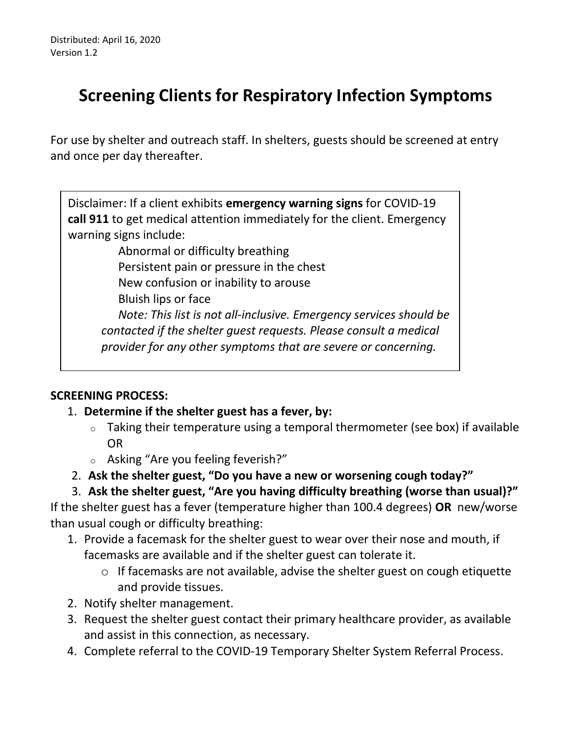### **Screening Clients for Respiratory Infection Symptoms**

For use by shelter and outreach staff. In shelters, guests should be screened at entry and once per day thereafter.

Disclaimer: If a client exhibits **emergency warning signs** for COVID-19 **call 911** to get medical attention immediately for the client. Emergency warning signs include:

Abnormal or difficulty breathing Persistent pain or pressure in the chest New confusion or inability to arouse Bluish lips or face *Note: This list is not all-inclusive. Emergency services should be contacted if the shelter guest requests. Please consult a medical provider for any other symptoms that are severe or concerning.*

### **SCREENING PROCESS:**

### 1. **Determine if the shelter guest has a fever, by:**

- $\circ$  Taking their temperature using a temporal thermometer (see box) if available OR
- o Asking "Are you feeling feverish?"
- 2. **Ask the shelter guest, "Do you have a new or worsening cough today?"**

### 3. **Ask the shelter guest, "Are you having difficulty breathing (worse than usual)?"**

If the shelter guest has a fever (temperature higher than 100.4 degrees) **OR** new/worse than usual cough or difficulty breathing:

- 1. Provide a facemask for the shelter guest to wear over their nose and mouth, if facemasks are available and if the shelter guest can tolerate it.
	- o If facemasks are not available, advise the shelter guest on cough etiquette and provide tissues.
- 2. Notify shelter management.
- 3. Request the shelter guest contact their primary healthcare provider, as available and assist in this connection, as necessary.
- 4. Complete referral to the COVID-19 Temporary Shelter System Referral Process.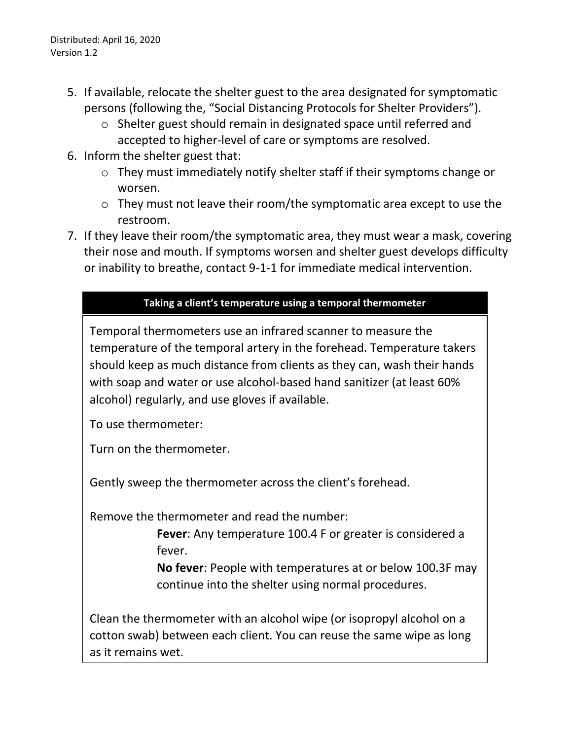Distributed: April 16, 2020 Version 1.2

- 5. If available, relocate the shelter guest to the area designated for symptomatic persons (following the, "Social Distancing Protocols for Shelter Providers").
	- o Shelter guest should remain in designated space until referred and accepted to higher-level of care or symptoms are resolved.
- 6. Inform the shelter guest that:
	- o They must immediately notify shelter staff if their symptoms change or worsen.
	- o They must not leave their room/the symptomatic area except to use the restroom.
- 7. If they leave their room/the symptomatic area, they must wear a mask, covering their nose and mouth. If symptoms worsen and shelter guest develops difficulty or inability to breathe, contact 9-1-1 for immediate medical intervention.

#### **Taking a client's temperature using a temporal thermometer**

Temporal thermometers use an infrared scanner to measure the temperature of the temporal artery in the forehead. Temperature takers should keep as much distance from clients as they can, wash their hands with soap and water or use alcohol-based hand sanitizer (at least 60% alcohol) regularly, and use gloves if available.

To use thermometer:

Turn on the thermometer.

Gently sweep the thermometer across the client's forehead.

Remove the thermometer and read the number:

**Fever**: Any temperature 100.4 F or greater is considered a fever.

**No fever**: People with temperatures at or below 100.3F may continue into the shelter using normal procedures.

Clean the thermometer with an alcohol wipe (or isopropyl alcohol on a cotton swab) between each client. You can reuse the same wipe as long as it remains wet.